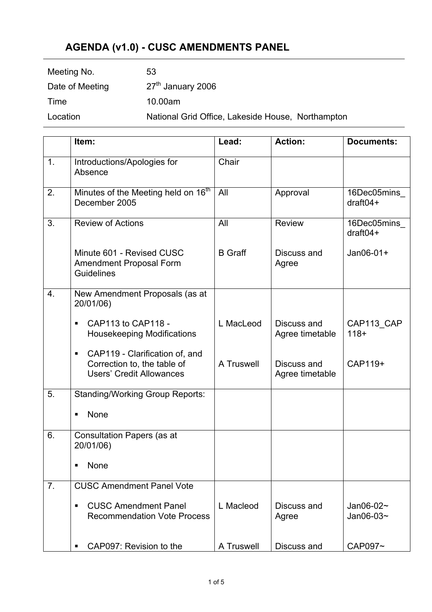## **AGENDA (v1.0) - CUSC AMENDMENTS PANEL**

| Meeting No.     | 53                                                |
|-----------------|---------------------------------------------------|
| Date of Meeting | 27 <sup>th</sup> January 2006                     |
| Time            | 10.00am                                           |
| Location        | National Grid Office, Lakeside House, Northampton |

|                | Item:                                                                                            | Lead:          | <b>Action:</b>                 | <b>Documents:</b>                  |
|----------------|--------------------------------------------------------------------------------------------------|----------------|--------------------------------|------------------------------------|
| 1.             | Introductions/Apologies for<br>Absence                                                           | Chair          |                                |                                    |
| 2.             | Minutes of the Meeting held on 16 <sup>th</sup><br>December 2005                                 | All            | Approval                       | 16Dec05mins<br>$draff04+$          |
| 3.             | <b>Review of Actions</b>                                                                         | All            | <b>Review</b>                  | 16Dec05mins_<br>$draff04+$         |
|                | Minute 601 - Revised CUSC<br>Amendment Proposal Form<br><b>Guidelines</b>                        | <b>B</b> Graff | Discuss and<br>Agree           | $Jan06-01+$                        |
| 4.             | New Amendment Proposals (as at<br>20/01/06)                                                      |                |                                |                                    |
|                | CAP113 to CAP118 -<br><b>Housekeeping Modifications</b>                                          | L MacLeod      | Discuss and<br>Agree timetable | CAP113 CAP<br>$118+$               |
|                | CAP119 - Clarification of, and<br>Correction to, the table of<br><b>Users' Credit Allowances</b> | A Truswell     | Discuss and<br>Agree timetable | CAP119+                            |
| 5.             | <b>Standing/Working Group Reports:</b>                                                           |                |                                |                                    |
|                | None<br>٠                                                                                        |                |                                |                                    |
| 6.             | <b>Consultation Papers (as at</b><br>20/01/06)                                                   |                |                                |                                    |
|                | <b>None</b><br>$\blacksquare$                                                                    |                |                                |                                    |
| 7 <sub>1</sub> | <b>CUSC Amendment Panel Vote</b>                                                                 |                |                                |                                    |
|                | <b>CUSC Amendment Panel</b><br><b>Recommendation Vote Process</b>                                | L Macleod      | Discuss and<br>Agree           | Jan06-02 $\sim$<br>Jan06-03 $\sim$ |
|                | CAP097: Revision to the                                                                          | A Truswell     | Discuss and                    | CAP097~                            |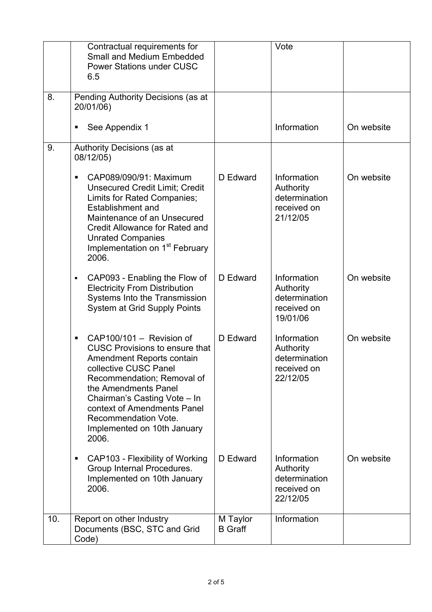|     | Contractual requirements for<br><b>Small and Medium Embedded</b><br><b>Power Stations under CUSC</b><br>6.5                                                                                                                                                                                                                    |                            | Vote                                                                 |            |
|-----|--------------------------------------------------------------------------------------------------------------------------------------------------------------------------------------------------------------------------------------------------------------------------------------------------------------------------------|----------------------------|----------------------------------------------------------------------|------------|
| 8.  | Pending Authority Decisions (as at<br>20/01/06)                                                                                                                                                                                                                                                                                |                            |                                                                      |            |
|     | See Appendix 1                                                                                                                                                                                                                                                                                                                 |                            | Information                                                          | On website |
| 9.  | Authority Decisions (as at<br>08/12/05)                                                                                                                                                                                                                                                                                        |                            |                                                                      |            |
|     | CAP089/090/91: Maximum<br>$\blacksquare$<br><b>Unsecured Credit Limit; Credit</b><br>Limits for Rated Companies;<br><b>Establishment and</b><br>Maintenance of an Unsecured<br>Credit Allowance for Rated and<br><b>Unrated Companies</b><br>Implementation on 1 <sup>st</sup> February<br>2006.                               | D Edward                   | Information<br>Authority<br>determination<br>received on<br>21/12/05 | On website |
|     | CAP093 - Enabling the Flow of<br>Ξ<br><b>Electricity From Distribution</b><br>Systems Into the Transmission<br>System at Grid Supply Points                                                                                                                                                                                    | D Edward                   | Information<br>Authority<br>determination<br>received on<br>19/01/06 | On website |
|     | CAP100/101 - Revision of<br>$\blacksquare$<br><b>CUSC Provisions to ensure that</b><br>Amendment Reports contain<br>collective CUSC Panel<br>Recommendation; Removal of<br>the Amendments Panel<br>Chairman's Casting Vote - In<br>context of Amendments Panel<br>Recommendation Vote.<br>Implemented on 10th January<br>2006. | D Edward                   | Information<br>Authority<br>determination<br>received on<br>22/12/05 | On website |
|     | CAP103 - Flexibility of Working<br>п<br>Group Internal Procedures.<br>Implemented on 10th January<br>2006.                                                                                                                                                                                                                     | D Edward                   | Information<br>Authority<br>determination<br>received on<br>22/12/05 | On website |
| 10. | Report on other Industry<br>Documents (BSC, STC and Grid<br>Code)                                                                                                                                                                                                                                                              | M Taylor<br><b>B</b> Graff | Information                                                          |            |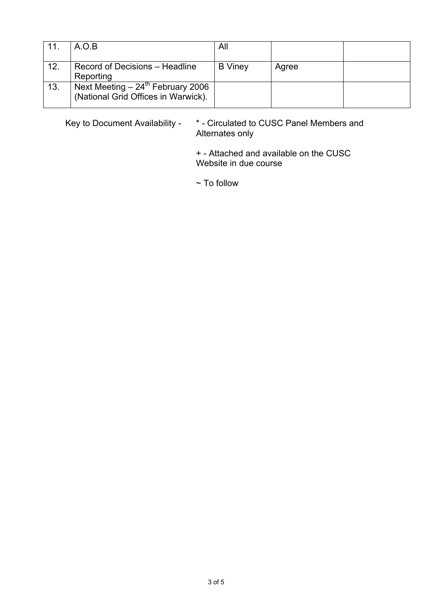| 11. | A.O.B                                                                               | All            |       |  |
|-----|-------------------------------------------------------------------------------------|----------------|-------|--|
| 12. | Record of Decisions – Headline<br>Reporting                                         | <b>B</b> Viney | Agree |  |
| 13. | Next Meeting $-24^{\text{th}}$ February 2006<br>(National Grid Offices in Warwick). |                |       |  |

Key to Document Availability - \* - Circulated to CUSC Panel Members and Alternates only

> + - Attached and available on the CUSC Website in due course

 $\sim$  To follow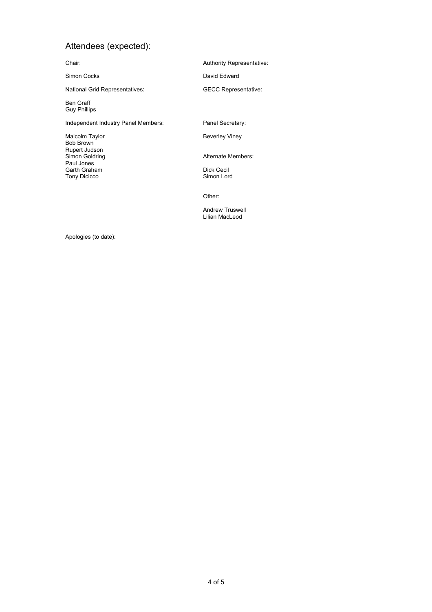## Attendees (expected):

Chair:

Simon Cocks

National Grid Representatives:

Ben Graff Guy Phillips

Independent Industry Panel Members:

Malcolm Taylor Bob Brown Rupert Judson Simon Goldring Paul Jones Garth Graham Tony Dicicco

Authority Representative:

David Edward

GECC Representative:

Panel Secretary:

Beverley Viney

Alternate Members:

Dick Cecil Simon Lord

Other:

Andrew Truswell Lilian MacLeod

Apologies (to date):